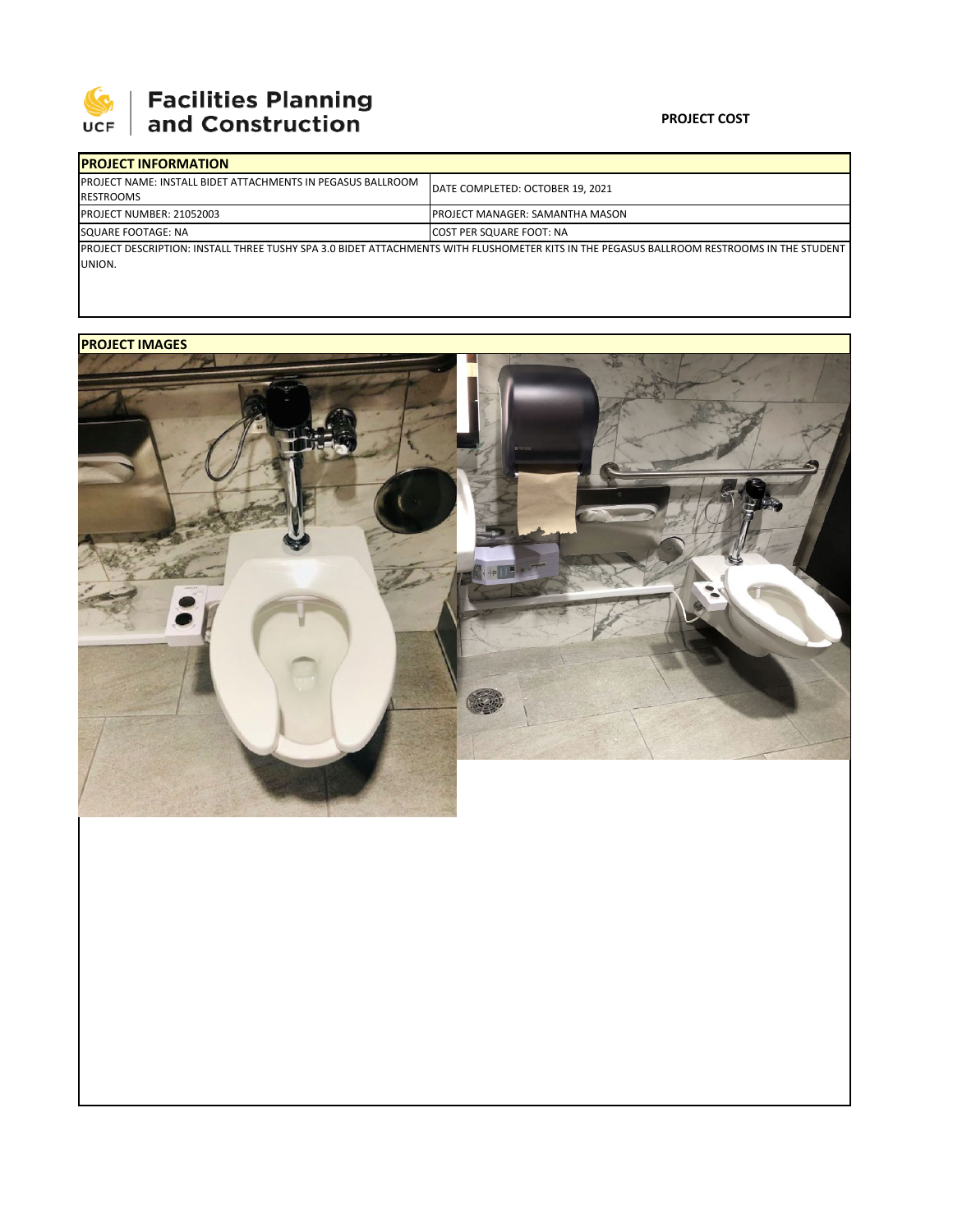

## 

### **PROJECT COST**

| <b>IPROJECT INFORMATION</b>                                                             |                                                                                                                                            |
|-----------------------------------------------------------------------------------------|--------------------------------------------------------------------------------------------------------------------------------------------|
| <b>IPROJECT NAME: INSTALL BIDET ATTACHMENTS IN PEGASUS BALLROOM</b><br><b>RESTROOMS</b> | DATE COMPLETED: OCTOBER 19, 2021                                                                                                           |
| <b>IPROJECT NUMBER: 21052003</b>                                                        | IPROJECT MANAGER: SAMANTHA MASON                                                                                                           |
| SQUARE FOOTAGE: NA                                                                      | <b>COST PER SQUARE FOOT: NA</b>                                                                                                            |
| UNION.                                                                                  | IPROJECT DESCRIPTION: INSTALL THREE TUSHY SPA 3.0 BIDET ATTACHMENTS WITH FLUSHOMETER KITS IN THE PEGASUS BALLROOM RESTROOMS IN THE STUDENT |

### **PROJECT IMAGES**